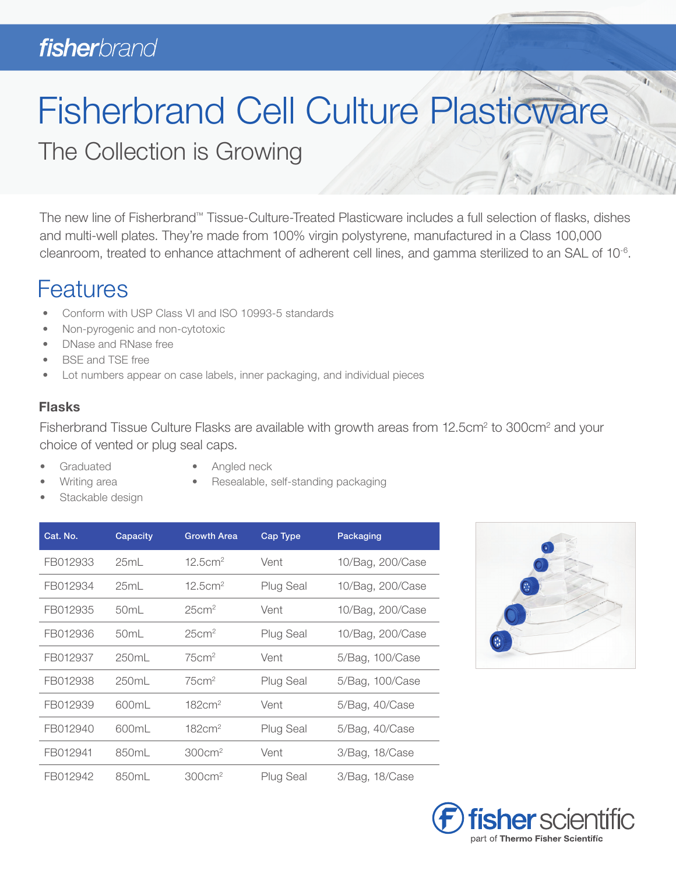# **fisher**brand

# Fisherbrand Cell Culture Plasticware

The Collection is Growing

The new line of Fisherbrand™ Tissue-Culture-Treated Plasticware includes a full selection of flasks, dishes and multi-well plates. They're made from 100% virgin polystyrene, manufactured in a Class 100,000 cleanroom, treated to enhance attachment of adherent cell lines, and gamma sterilized to an SAL of 10-6.

## **Features**

- Conform with USP Class VI and ISO 10993-5 standards
- Non-pyrogenic and non-cytotoxic
- DNase and RNase free
- BSE and TSE free
- Lot numbers appear on case labels, inner packaging, and individual pieces

## Flasks

Fisherbrand Tissue Culture Flasks are available with growth areas from 12.5cm<sup>2</sup> to 300cm<sup>2</sup> and your choice of vented or plug seal caps.

- **Graduated**
- Angled neck
- Resealable, self-standing packaging
- Writing area Stackable design

| Cat. No. | Capacity         | <b>Growth Area</b>  | <b>Cap Type</b>  | Packaging        |  |
|----------|------------------|---------------------|------------------|------------------|--|
| FB012933 | 25mL             | 12.5cm <sup>2</sup> | Vent             | 10/Bag, 200/Case |  |
| FB012934 | 25mL             | 12.5cm <sup>2</sup> | <b>Plug Seal</b> | 10/Bag, 200/Case |  |
| FB012935 | 50mL             | 25cm <sup>2</sup>   | Vent             | 10/Bag, 200/Case |  |
| FB012936 | 50 <sub>mL</sub> | 25cm <sup>2</sup>   | <b>Plug Seal</b> | 10/Bag, 200/Case |  |
| FB012937 | 250ml            | 75cm <sup>2</sup>   | Vent             | 5/Bag, 100/Case  |  |
| FB012938 | 250mL            | 75cm <sup>2</sup>   | <b>Plug Seal</b> | 5/Bag, 100/Case  |  |
| FB012939 | 600mL            | 182cm <sup>2</sup>  | Vent             | 5/Bag, 40/Case   |  |
| FB012940 | 600mL            | 182cm <sup>2</sup>  | <b>Plug Seal</b> | 5/Bag, 40/Case   |  |
| FB012941 | 850mL            | 300cm <sup>2</sup>  | Vent             | 3/Bag, 18/Case   |  |
| FB012942 | 850mL            | 300cm <sup>2</sup>  | <b>Plug Seal</b> | 3/Bag, 18/Case   |  |